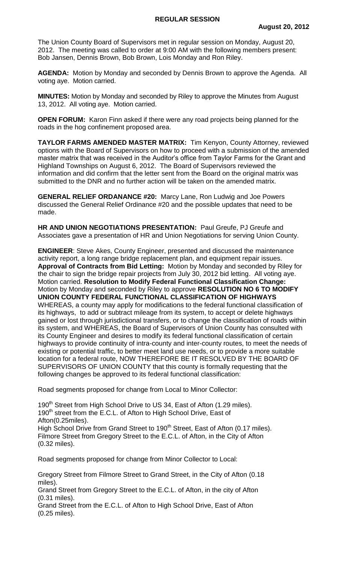The Union County Board of Supervisors met in regular session on Monday, August 20, 2012. The meeting was called to order at 9:00 AM with the following members present: Bob Jansen, Dennis Brown, Bob Brown, Lois Monday and Ron Riley.

**AGENDA:** Motion by Monday and seconded by Dennis Brown to approve the Agenda. All voting aye. Motion carried.

**MINUTES:** Motion by Monday and seconded by Riley to approve the Minutes from August 13, 2012. All voting aye. Motion carried.

**OPEN FORUM:** Karon Finn asked if there were any road projects being planned for the roads in the hog confinement proposed area.

**TAYLOR FARMS AMENDED MASTER MATRIX:** Tim Kenyon, County Attorney, reviewed options with the Board of Supervisors on how to proceed with a submission of the amended master matrix that was received in the Auditor's office from Taylor Farms for the Grant and Highland Townships on August 6, 2012. The Board of Supervisors reviewed the information and did confirm that the letter sent from the Board on the original matrix was submitted to the DNR and no further action will be taken on the amended matrix.

**GENERAL RELIEF ORDANANCE #20:** Marcy Lane, Ron Ludwig and Joe Powers discussed the General Relief Ordinance #20 and the possible updates that need to be made.

**HR AND UNION NEGOTIATIONS PRESENTATION:** Paul Greufe, PJ Greufe and Associates gave a presentation of HR and Union Negotiations for serving Union County.

**ENGINEER**: Steve Akes, County Engineer, presented and discussed the maintenance activity report, a long range bridge replacement plan, and equipment repair issues. **Approval of Contracts from Bid Letting:** Motion by Monday and seconded by Riley for the chair to sign the bridge repair projects from July 30, 2012 bid letting. All voting aye. Motion carried. **Resolution to Modify Federal Functional Classification Change:**  Motion by Monday and seconded by Riley to approve **RESOLUTION NO 6 TO MODIFY UNION COUNTY FEDERAL FUNCTIONAL CLASSIFICATION OF HIGHWAYS** WHEREAS, a county may apply for modifications to the federal functional classification of its highways, to add or subtract mileage from its system, to accept or delete highways gained or lost through jurisdictional transfers, or to change the classification of roads within its system, and WHEREAS, the Board of Supervisors of Union County has consulted with its County Engineer and desires to modify its federal functional classification of certain highways to provide continuity of intra-county and inter-county routes, to meet the needs of existing or potential traffic, to better meet land use needs, or to provide a more suitable location for a federal route, NOW THEREFORE BE IT RESOLVED BY THE BOARD OF SUPERVISORS OF UNION COUNTY that this county is formally requesting that the following changes be approved to its federal functional classification:

Road segments proposed for change from Local to Minor Collector:

190<sup>th</sup> Street from High School Drive to US 34, East of Afton (1.29 miles). 190<sup>th</sup> street from the E.C.L. of Afton to High School Drive, East of Afton(0.25miles). High School Drive from Grand Street to 190<sup>th</sup> Street, East of Afton (0.17 miles). Filmore Street from Gregory Street to the E.C.L. of Afton, in the City of Afton (0.32 miles).

Road segments proposed for change from Minor Collector to Local:

Gregory Street from Filmore Street to Grand Street, in the City of Afton (0.18 miles).

Grand Street from Gregory Street to the E.C.L. of Afton, in the city of Afton (0.31 miles).

Grand Street from the E.C.L. of Afton to High School Drive, East of Afton (0.25 miles).